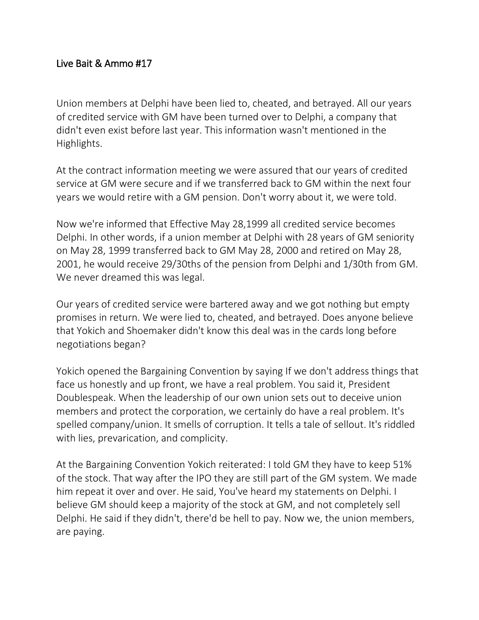## Live Bait & Ammo #17

Union members at Delphi have been lied to, cheated, and betrayed. All our years of credited service with GM have been turned over to Delphi, a company that didn't even exist before last year. This information wasn't mentioned in the Highlights.

At the contract information meeting we were assured that our years of credited service at GM were secure and if we transferred back to GM within the next four years we would retire with a GM pension. Don't worry about it, we were told.

Now we're informed that Effective May 28,1999 all credited service becomes Delphi. In other words, if a union member at Delphi with 28 years of GM seniority on May 28, 1999 transferred back to GM May 28, 2000 and retired on May 28, 2001, he would receive 29/30ths of the pension from Delphi and 1/30th from GM. We never dreamed this was legal.

Our years of credited service were bartered away and we got nothing but empty promises in return. We were lied to, cheated, and betrayed. Does anyone believe that Yokich and Shoemaker didn't know this deal was in the cards long before negotiations began?

Yokich opened the Bargaining Convention by saying If we don't address things that face us honestly and up front, we have a real problem. You said it, President Doublespeak. When the leadership of our own union sets out to deceive union members and protect the corporation, we certainly do have a real problem. It's spelled company/union. It smells of corruption. It tells a tale of sellout. It's riddled with lies, prevarication, and complicity.

At the Bargaining Convention Yokich reiterated: I told GM they have to keep 51% of the stock. That way after the IPO they are still part of the GM system. We made him repeat it over and over. He said, You've heard my statements on Delphi. I believe GM should keep a majority of the stock at GM, and not completely sell Delphi. He said if they didn't, there'd be hell to pay. Now we, the union members, are paying.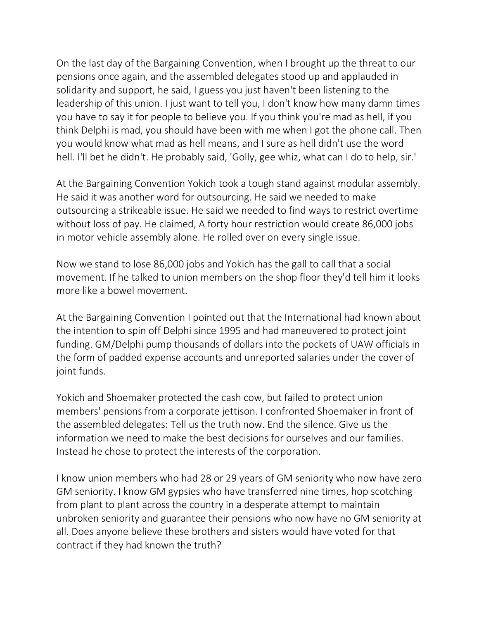On the last day of the Bargaining Convention, when I brought up the threat to our pensions once again, and the assembled delegates stood up and applauded in solidarity and support, he said, I guess you just haven't been listening to the leadership of this union. I just want to tell you, I don't know how many damn times you have to say it for people to believe you. If you think you're mad as hell, if you think Delphi is mad, you should have been with me when I got the phone call. Then you would know what mad as hell means, and I sure as hell didn't use the word hell. I'll bet he didn't. He probably said, 'Golly, gee whiz, what can I do to help, sir.'

At the Bargaining Convention Yokich took a tough stand against modular assembly. He said it was another word for outsourcing. He said we needed to make outsourcing a strikeable issue. He said we needed to find ways to restrict overtime without loss of pay. He claimed, A forty hour restriction would create 86,000 jobs in motor vehicle assembly alone. He rolled over on every single issue.

Now we stand to lose 86,000 jobs and Yokich has the gall to call that a social movement. If he talked to union members on the shop floor they'd tell him it looks more like a bowel movement.

At the Bargaining Convention I pointed out that the International had known about the intention to spin off Delphi since 1995 and had maneuvered to protect joint funding. GM/Delphi pump thousands of dollars into the pockets of UAW officials in the form of padded expense accounts and unreported salaries under the cover of joint funds.

Yokich and Shoemaker protected the cash cow, but failed to protect union members' pensions from a corporate jettison. I confronted Shoemaker in front of the assembled delegates: Tell us the truth now. End the silence. Give us the information we need to make the best decisions for ourselves and our families. Instead he chose to protect the interests of the corporation.

I know union members who had 28 or 29 years of GM seniority who now have zero GM seniority. I know GM gypsies who have transferred nine times, hop scotching from plant to plant across the country in a desperate attempt to maintain unbroken seniority and guarantee their pensions who now have no GM seniority at all. Does anyone believe these brothers and sisters would have voted for that contract if they had known the truth?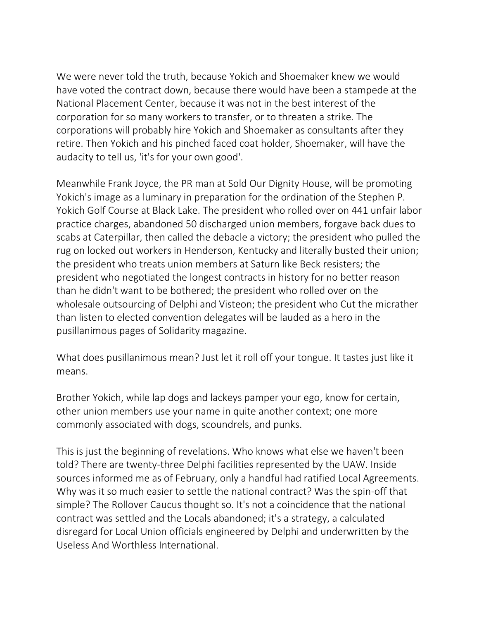We were never told the truth, because Yokich and Shoemaker knew we would have voted the contract down, because there would have been a stampede at the National Placement Center, because it was not in the best interest of the corporation for so many workers to transfer, or to threaten a strike. The corporations will probably hire Yokich and Shoemaker as consultants after they retire. Then Yokich and his pinched faced coat holder, Shoemaker, will have the audacity to tell us, 'it's for your own good'.

Meanwhile Frank Joyce, the PR man at Sold Our Dignity House, will be promoting Yokich's image as a luminary in preparation for the ordination of the Stephen P. Yokich Golf Course at Black Lake. The president who rolled over on 441 unfair labor practice charges, abandoned 50 discharged union members, forgave back dues to scabs at Caterpillar, then called the debacle a victory; the president who pulled the rug on locked out workers in Henderson, Kentucky and literally busted their union; the president who treats union members at Saturn like Beck resisters; the president who negotiated the longest contracts in history for no better reason than he didn't want to be bothered; the president who rolled over on the wholesale outsourcing of Delphi and Visteon; the president who Cut the micrather than listen to elected convention delegates will be lauded as a hero in the pusillanimous pages of Solidarity magazine.

What does pusillanimous mean? Just let it roll off your tongue. It tastes just like it means.

Brother Yokich, while lap dogs and lackeys pamper your ego, know for certain, other union members use your name in quite another context; one more commonly associated with dogs, scoundrels, and punks.

This is just the beginning of revelations. Who knows what else we haven't been told? There are twenty-three Delphi facilities represented by the UAW. Inside sources informed me as of February, only a handful had ratified Local Agreements. Why was it so much easier to settle the national contract? Was the spin-off that simple? The Rollover Caucus thought so. It's not a coincidence that the national contract was settled and the Locals abandoned; it's a strategy, a calculated disregard for Local Union officials engineered by Delphi and underwritten by the Useless And Worthless International.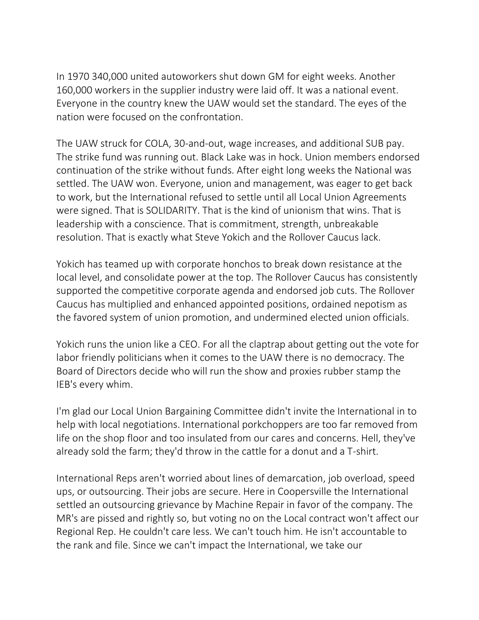In 1970 340,000 united autoworkers shut down GM for eight weeks. Another 160,000 workers in the supplier industry were laid off. It was a national event. Everyone in the country knew the UAW would set the standard. The eyes of the nation were focused on the confrontation.

The UAW struck for COLA, 30-and-out, wage increases, and additional SUB pay. The strike fund was running out. Black Lake was in hock. Union members endorsed continuation of the strike without funds. After eight long weeks the National was settled. The UAW won. Everyone, union and management, was eager to get back to work, but the International refused to settle until all Local Union Agreements were signed. That is SOLIDARITY. That is the kind of unionism that wins. That is leadership with a conscience. That is commitment, strength, unbreakable resolution. That is exactly what Steve Yokich and the Rollover Caucus lack.

Yokich has teamed up with corporate honchos to break down resistance at the local level, and consolidate power at the top. The Rollover Caucus has consistently supported the competitive corporate agenda and endorsed job cuts. The Rollover Caucus has multiplied and enhanced appointed positions, ordained nepotism as the favored system of union promotion, and undermined elected union officials.

Yokich runs the union like a CEO. For all the claptrap about getting out the vote for labor friendly politicians when it comes to the UAW there is no democracy. The Board of Directors decide who will run the show and proxies rubber stamp the IEB's every whim.

I'm glad our Local Union Bargaining Committee didn't invite the International in to help with local negotiations. International porkchoppers are too far removed from life on the shop floor and too insulated from our cares and concerns. Hell, they've already sold the farm; they'd throw in the cattle for a donut and a T-shirt.

International Reps aren't worried about lines of demarcation, job overload, speed ups, or outsourcing. Their jobs are secure. Here in Coopersville the International settled an outsourcing grievance by Machine Repair in favor of the company. The MR's are pissed and rightly so, but voting no on the Local contract won't affect our Regional Rep. He couldn't care less. We can't touch him. He isn't accountable to the rank and file. Since we can't impact the International, we take our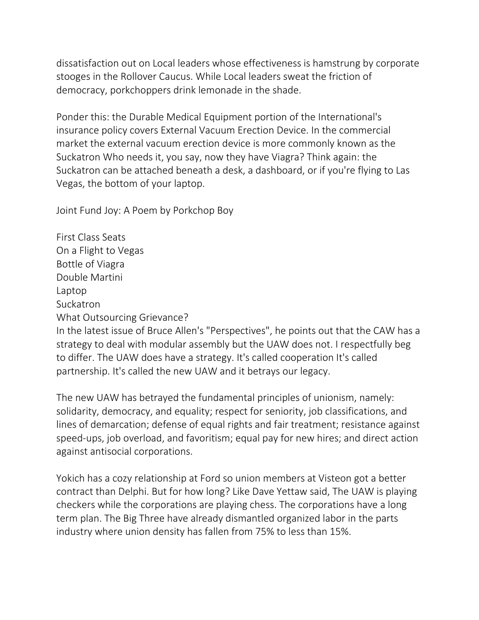dissatisfaction out on Local leaders whose effectiveness is hamstrung by corporate stooges in the Rollover Caucus. While Local leaders sweat the friction of democracy, porkchoppers drink lemonade in the shade.

Ponder this: the Durable Medical Equipment portion of the International's insurance policy covers External Vacuum Erection Device. In the commercial market the external vacuum erection device is more commonly known as the Suckatron Who needs it, you say, now they have Viagra? Think again: the Suckatron can be attached beneath a desk, a dashboard, or if you're flying to Las Vegas, the bottom of your laptop.

Joint Fund Joy: A Poem by Porkchop Boy

First Class Seats On a Flight to Vegas Bottle of Viagra Double Martini Laptop Suckatron What Outsourcing Grievance? In the latest issue of Bruce Allen's "Perspectives", he points out that the CAW has a strategy to deal with modular assembly but the UAW does not. I respectfully beg to differ. The UAW does have a strategy. It's called cooperation It's called partnership. It's called the new UAW and it betrays our legacy.

The new UAW has betrayed the fundamental principles of unionism, namely: solidarity, democracy, and equality; respect for seniority, job classifications, and lines of demarcation; defense of equal rights and fair treatment; resistance against speed-ups, job overload, and favoritism; equal pay for new hires; and direct action against antisocial corporations.

Yokich has a cozy relationship at Ford so union members at Visteon got a better contract than Delphi. But for how long? Like Dave Yettaw said, The UAW is playing checkers while the corporations are playing chess. The corporations have a long term plan. The Big Three have already dismantled organized labor in the parts industry where union density has fallen from 75% to less than 15%.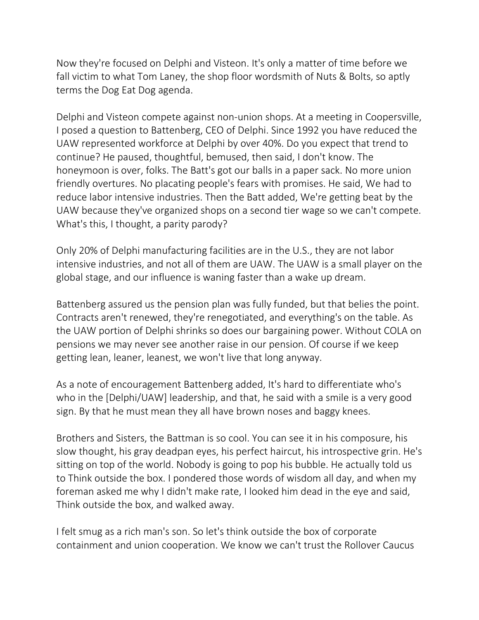Now they're focused on Delphi and Visteon. It's only a matter of time before we fall victim to what Tom Laney, the shop floor wordsmith of Nuts & Bolts, so aptly terms the Dog Eat Dog agenda.

Delphi and Visteon compete against non-union shops. At a meeting in Coopersville, I posed a question to Battenberg, CEO of Delphi. Since 1992 you have reduced the UAW represented workforce at Delphi by over 40%. Do you expect that trend to continue? He paused, thoughtful, bemused, then said, I don't know. The honeymoon is over, folks. The Batt's got our balls in a paper sack. No more union friendly overtures. No placating people's fears with promises. He said, We had to reduce labor intensive industries. Then the Batt added, We're getting beat by the UAW because they've organized shops on a second tier wage so we can't compete. What's this, I thought, a parity parody?

Only 20% of Delphi manufacturing facilities are in the U.S., they are not labor intensive industries, and not all of them are UAW. The UAW is a small player on the global stage, and our influence is waning faster than a wake up dream.

Battenberg assured us the pension plan was fully funded, but that belies the point. Contracts aren't renewed, they're renegotiated, and everything's on the table. As the UAW portion of Delphi shrinks so does our bargaining power. Without COLA on pensions we may never see another raise in our pension. Of course if we keep getting lean, leaner, leanest, we won't live that long anyway.

As a note of encouragement Battenberg added, It's hard to differentiate who's who in the [Delphi/UAW] leadership, and that, he said with a smile is a very good sign. By that he must mean they all have brown noses and baggy knees.

Brothers and Sisters, the Battman is so cool. You can see it in his composure, his slow thought, his gray deadpan eyes, his perfect haircut, his introspective grin. He's sitting on top of the world. Nobody is going to pop his bubble. He actually told us to Think outside the box. I pondered those words of wisdom all day, and when my foreman asked me why I didn't make rate, I looked him dead in the eye and said, Think outside the box, and walked away.

I felt smug as a rich man's son. So let's think outside the box of corporate containment and union cooperation. We know we can't trust the Rollover Caucus